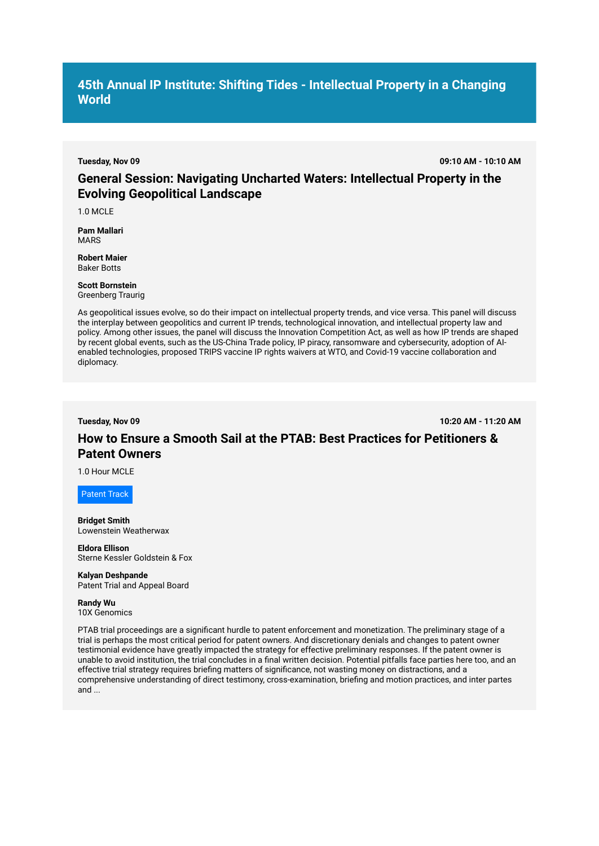## **45th Annual IP Institute: Shifting Tides - Intellectual Property in a Changing World**

**Tuesday, Nov 09 09:10 AM - 10:10 AM**

## **General Session: Navigating Uncharted Waters: Intellectual Property in the Evolving Geopolitical Landscape**

1.0 MCLE

**Pam Mallari**  MARS

**Robert Maier**  Baker Botts

#### **Scott Bornstein**  Greenberg Traurig

As geopolitical issues evolve, so do their impact on intellectual property trends, and vice versa. This panel will discuss the interplay between geopolitics and current IP trends, technological innovation, and intellectual property law and policy. Among other issues, the panel will discuss the Innovation Competition Act, as well as how IP trends are shaped by recent global events, such as the US-China Trade policy, IP piracy, ransomware and cybersecurity, adoption of AIenabled technologies, proposed TRIPS vaccine IP rights waivers at WTO, and Covid-19 vaccine collaboration and diplomacy.

**Tuesday, Nov 09 10:20 AM - 11:20 AM**

# **How to Ensure a Smooth Sail at the PTAB: Best Practices for Petitioners & Patent Owners**

1.0 Hour MCLE

Patent Track

**Bridget Smith**  Lowenstein Weatherwax

**Eldora Ellison**  Sterne Kessler Goldstein & Fox

**Kalyan Deshpande**  Patent Trial and Appeal Board

**Randy Wu**  10X Genomics

PTAB trial proceedings are a significant hurdle to patent enforcement and monetization. The preliminary stage of a trial is perhaps the most critical period for patent owners. And discretionary denials and changes to patent owner testimonial evidence have greatly impacted the strategy for effective preliminary responses. If the patent owner is unable to avoid institution, the trial concludes in a final written decision. Potential pitfalls face parties here too, and an effective trial strategy requires briefing matters of significance, not wasting money on distractions, and a comprehensive understanding of direct testimony, cross-examination, briefing and motion practices, and inter partes and ...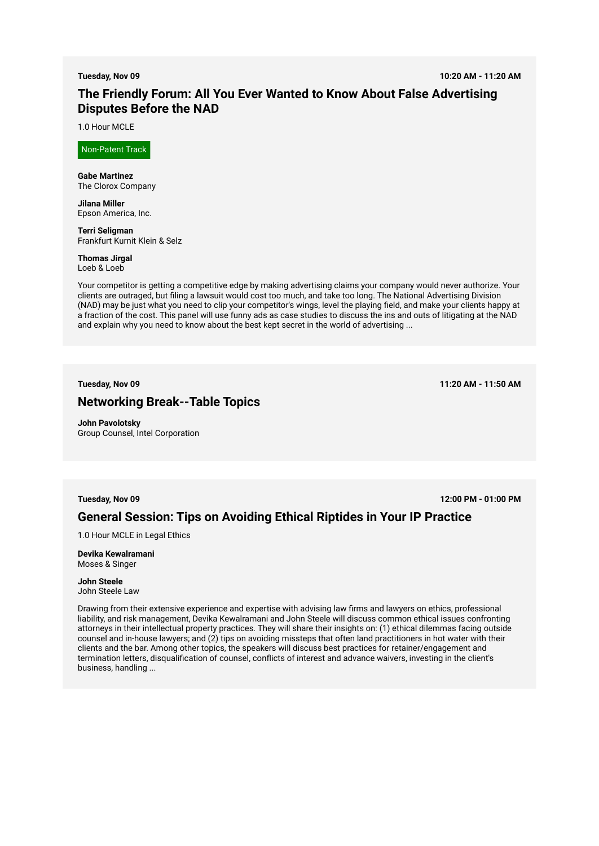**Tuesday, Nov 09 10:20 AM - 11:20 AM**

# **The Friendly Forum: All You Ever Wanted to Know About False Advertising Disputes Before the NAD**

1.0 Hour MCLE

Non-Patent Track

**Gabe Martinez**  The Clorox Company

**Jilana Miller**  Epson America, Inc.

**Terri Seligman**  Frankfurt Kurnit Klein & Selz

**Thomas Jirgal**  Loeb & Loeb

Your competitor is getting a competitive edge by making advertising claims your company would never authorize. Your clients are outraged, but filing a lawsuit would cost too much, and take too long. The National Advertising Division (NAD) may be just what you need to clip your competitor's wings, level the playing field, and make your clients happy at a fraction of the cost. This panel will use funny ads as case studies to discuss the ins and outs of litigating at the NAD and explain why you need to know about the best kept secret in the world of advertising ...

**Tuesday, Nov 09 11:20 AM - 11:50 AM**

### **Networking Break--Table Topics**

**John Pavolotsky**  Group Counsel, Intel Corporation

**Tuesday, Nov 09 12:00 PM - 01:00 PM**

## **General Session: Tips on Avoiding Ethical Riptides in Your IP Practice**

1.0 Hour MCLE in Legal Ethics

**Devika Kewalramani**  Moses & Singer

**John Steele**  John Steele Law

Drawing from their extensive experience and expertise with advising law firms and lawyers on ethics, professional liability, and risk management, Devika Kewalramani and John Steele will discuss common ethical issues confronting attorneys in their intellectual property practices. They will share their insights on: (1) ethical dilemmas facing outside counsel and in-house lawyers; and (2) tips on avoiding missteps that often land practitioners in hot water with their clients and the bar. Among other topics, the speakers will discuss best practices for retainer/engagement and termination letters, disqualification of counsel, conflicts of interest and advance waivers, investing in the client's business, handling ...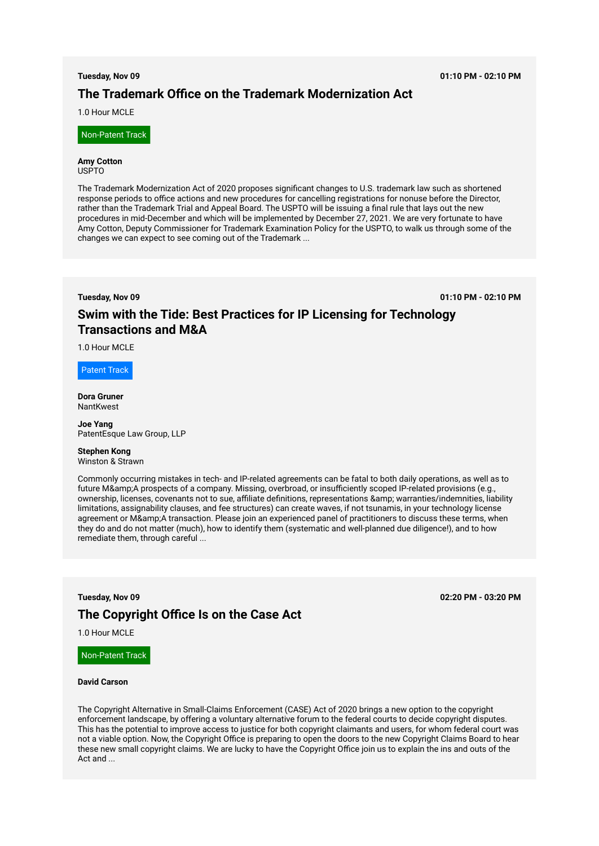**Tuesday, Nov 09 01:10 PM - 02:10 PM**

# **The Trademark Office on the Trademark Modernization Act**

1.0 Hour MCLE

Non-Patent Track

#### **Amy Cotton**  USPTO

The Trademark Modernization Act of 2020 proposes significant changes to U.S. trademark law such as shortened response periods to office actions and new procedures for cancelling registrations for nonuse before the Director, rather than the Trademark Trial and Appeal Board. The USPTO will be issuing a final rule that lays out the new procedures in mid-December and which will be implemented by December 27, 2021. We are very fortunate to have Amy Cotton, Deputy Commissioner for Trademark Examination Policy for the USPTO, to walk us through some of the changes we can expect to see coming out of the Trademark ...

**Tuesday, Nov 09 01:10 PM - 02:10 PM**

# **Swim with the Tide: Best Practices for IP Licensing for Technology Transactions and M&A**

1.0 Hour MCLE

Patent Track

**Dora Gruner**  NantKwest

**Joe Yang**  PatentEsque Law Group, LLP

## **Stephen Kong**

Winston & Strawn

Commonly occurring mistakes in tech- and IP-related agreements can be fatal to both daily operations, as well as to future M& A prospects of a company. Missing, overbroad, or insufficiently scoped IP-related provisions (e.g., ownership, licenses, covenants not to sue, affiliate definitions, representations & amp; warranties/indemnities, liability limitations, assignability clauses, and fee structures) can create waves, if not tsunamis, in your technology license agreement or M&A transaction. Please join an experienced panel of practitioners to discuss these terms, when they do and do not matter (much), how to identify them (systematic and well-planned due diligence!), and to how remediate them, through careful ...

**Tuesday, Nov 09 02:20 PM - 03:20 PM The Copyright Office Is on the Case Act**

#### 1.0 Hour MCLE

Non-Patent Track

### **David Carson**

The Copyright Alternative in Small-Claims Enforcement (CASE) Act of 2020 brings a new option to the copyright enforcement landscape, by offering a voluntary alternative forum to the federal courts to decide copyright disputes. This has the potential to improve access to justice for both copyright claimants and users, for whom federal court was not a viable option. Now, the Copyright Office is preparing to open the doors to the new Copyright Claims Board to hear these new small copyright claims. We are lucky to have the Copyright Office join us to explain the ins and outs of the Act and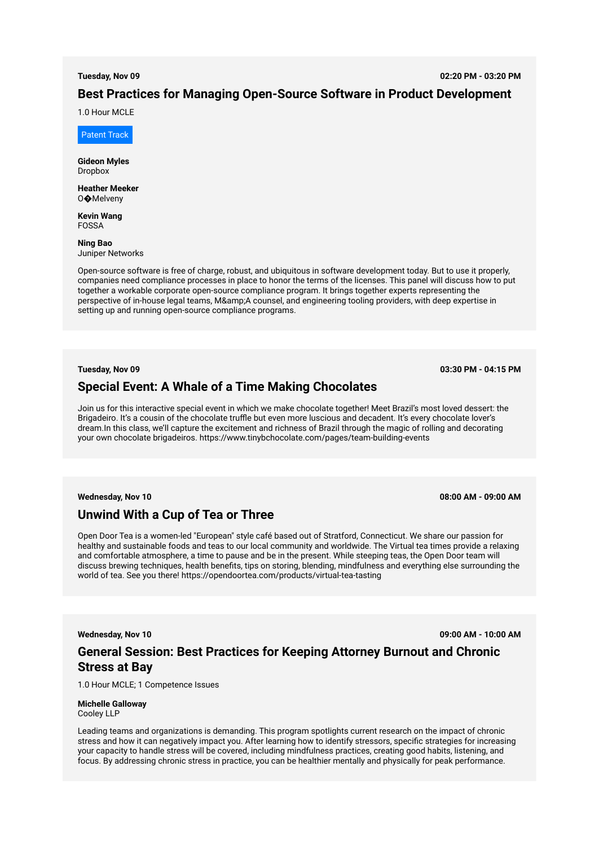**Tuesday, Nov 09 02:20 PM - 03:20 PM**

## **Best Practices for Managing Open-Source Software in Product Development**

1.0 Hour MCLE

Patent Track

**Gideon Myles**  Dropbox

**Heather Meeker**  O�Melveny

**Kevin Wang**  FOSSA

**Ning Bao**  Juniper Networks

Open-source software is free of charge, robust, and ubiquitous in software development today. But to use it properly, companies need compliance processes in place to honor the terms of the licenses. This panel will discuss how to put together a workable corporate open-source compliance program. It brings together experts representing the perspective of in-house legal teams, M&A counsel, and engineering tooling providers, with deep expertise in setting up and running open-source compliance programs.

### **Tuesday, Nov 09 03:30 PM - 04:15 PM**

## **Special Event: A Whale of a Time Making Chocolates**

Join us for this interactive special event in which we make chocolate together! Meet Brazil's most loved dessert: the Brigadeiro. It's a cousin of the chocolate truffle but even more luscious and decadent. It's every chocolate lover's dream.In this class, we'll capture the excitement and richness of Brazil through the magic of rolling and decorating your own chocolate brigadeiros. https://www.tinybchocolate.com/pages/team-building-events

**Wednesday, Nov 10 08:00 AM - 09:00 AM**

## **Unwind With a Cup of Tea or Three**

Open Door Tea is a women-led "European" style café based out of Stratford, Connecticut. We share our passion for healthy and sustainable foods and teas to our local community and worldwide. The Virtual tea times provide a relaxing and comfortable atmosphere, a time to pause and be in the present. While steeping teas, the Open Door team will discuss brewing techniques, health benefits, tips on storing, blending, mindfulness and everything else surrounding the world of tea. See you there! https://opendoortea.com/products/virtual-tea-tasting

**Wednesday, Nov 10 09:00 AM - 10:00 AM**

## **General Session: Best Practices for Keeping Attorney Burnout and Chronic Stress at Bay**

1.0 Hour MCLE; 1 Competence Issues

**Michelle Galloway**  Cooley LLP

Leading teams and organizations is demanding. This program spotlights current research on the impact of chronic stress and how it can negatively impact you. After learning how to identify stressors, specific strategies for increasing your capacity to handle stress will be covered, including mindfulness practices, creating good habits, listening, and focus. By addressing chronic stress in practice, you can be healthier mentally and physically for peak performance.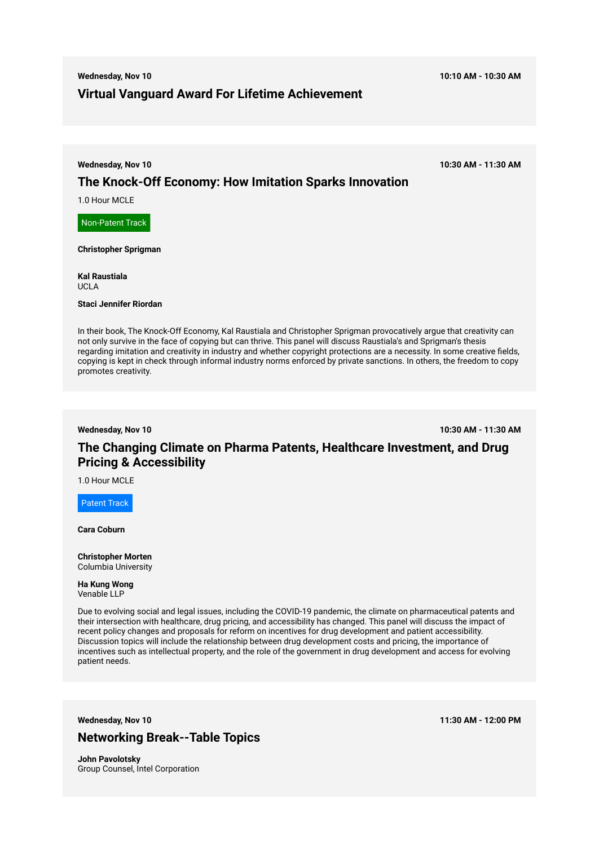# **Wednesday, Nov 10 10:10 AM - 10:30 AM Virtual Vanguard Award For Lifetime Achievement**

**Wednesday, Nov 10 10:30 AM - 11:30 AM**

## **The Knock-Off Economy: How Imitation Sparks Innovation**

1.0 Hour MCLE

Non-Patent Track

**Christopher Sprigman** 

**Kal Raustiala**  UCLA

### **Staci Jennifer Riordan**

In their book, The Knock-Off Economy, Kal Raustiala and Christopher Sprigman provocatively argue that creativity can not only survive in the face of copying but can thrive. This panel will discuss Raustiala's and Sprigman's thesis regarding imitation and creativity in industry and whether copyright protections are a necessity. In some creative fields, copying is kept in check through informal industry norms enforced by private sanctions. In others, the freedom to copy promotes creativity.

**Wednesday, Nov 10 10:30 AM - 11:30 AM**

# **The Changing Climate on Pharma Patents, Healthcare Investment, and Drug Pricing & Accessibility**

1.0 Hour MCLE

Patent Track

**Cara Coburn** 

**Christopher Morten**  Columbia University

**Ha Kung Wong**  Venable LLP

Due to evolving social and legal issues, including the COVID-19 pandemic, the climate on pharmaceutical patents and their intersection with healthcare, drug pricing, and accessibility has changed. This panel will discuss the impact of recent policy changes and proposals for reform on incentives for drug development and patient accessibility. Discussion topics will include the relationship between drug development costs and pricing, the importance of incentives such as intellectual property, and the role of the government in drug development and access for evolving patient needs.

**Wednesday, Nov 10 11:30 AM - 12:00 PM**

# **Networking Break--Table Topics**

**John Pavolotsky**  Group Counsel, Intel Corporation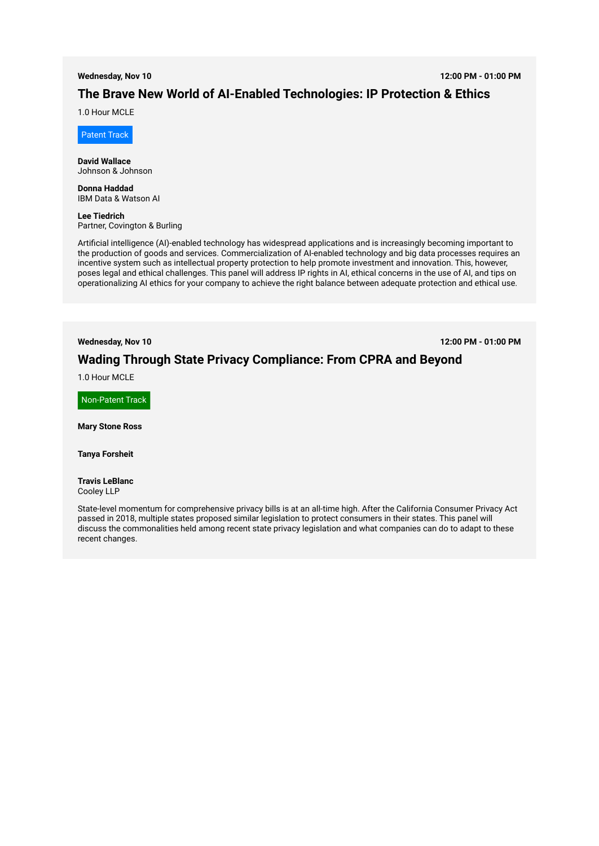#### **Wednesday, Nov 10 12:00 PM - 01:00 PM**

# **The Brave New World of AI-Enabled Technologies: IP Protection & Ethics**

1.0 Hour MCLE

Patent Track

**David Wallace**  Johnson & Johnson

**Donna Haddad**  IBM Data & Watson AI

**Lee Tiedrich**  Partner, Covington & Burling

Artificial intelligence (AI)-enabled technology has widespread applications and is increasingly becoming important to the production of goods and services. Commercialization of AI-enabled technology and big data processes requires an incentive system such as intellectual property protection to help promote investment and innovation. This, however, poses legal and ethical challenges. This panel will address IP rights in AI, ethical concerns in the use of AI, and tips on operationalizing AI ethics for your company to achieve the right balance between adequate protection and ethical use.

**Wednesday, Nov 10 12:00 PM - 01:00 PM**

## **Wading Through State Privacy Compliance: From CPRA and Beyond**

1.0 Hour MCLE

Non-Patent Track

**Mary Stone Ross** 

**Tanya Forsheit** 

### **Travis LeBlanc**  Cooley LLP

State-level momentum for comprehensive privacy bills is at an all-time high. After the California Consumer Privacy Act passed in 2018, multiple states proposed similar legislation to protect consumers in their states. This panel will discuss the commonalities held among recent state privacy legislation and what companies can do to adapt to these recent changes.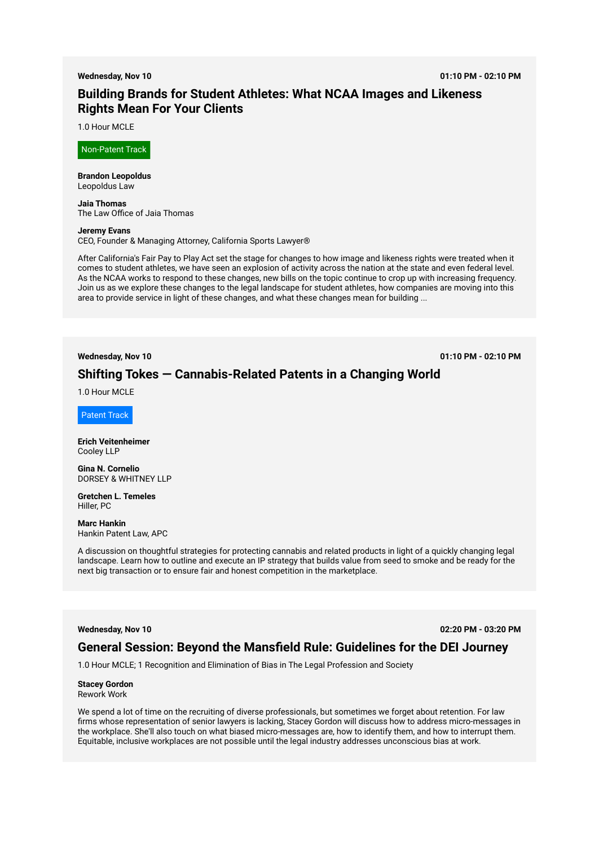#### **Wednesday, Nov 10 01:10 PM - 02:10 PM**

# **Building Brands for Student Athletes: What NCAA Images and Likeness Rights Mean For Your Clients**

1.0 Hour MCLE

Non-Patent Track

**Brandon Leopoldus**  Leopoldus Law

**Jaia Thomas**  The Law Office of Jaia Thomas

#### **Jeremy Evans**

CEO, Founder & Managing Attorney, California Sports Lawyer®

After California's Fair Pay to Play Act set the stage for changes to how image and likeness rights were treated when it comes to student athletes, we have seen an explosion of activity across the nation at the state and even federal level. As the NCAA works to respond to these changes, new bills on the topic continue to crop up with increasing frequency. Join us as we explore these changes to the legal landscape for student athletes, how companies are moving into this area to provide service in light of these changes, and what these changes mean for building ...

**Wednesday, Nov 10 01:10 PM - 02:10 PM**

## **Shifting Tokes — Cannabis-Related Patents in a Changing World**

1.0 Hour MCLE

Patent Track

**Erich Veitenheimer**  Cooley LLP

**Gina N. Cornelio**  DORSEY & WHITNEY LLP

**Gretchen L. Temeles**  Hiller, PC

**Marc Hankin**  Hankin Patent Law, APC

A discussion on thoughtful strategies for protecting cannabis and related products in light of a quickly changing legal landscape. Learn how to outline and execute an IP strategy that builds value from seed to smoke and be ready for the next big transaction or to ensure fair and honest competition in the marketplace.

**Wednesday, Nov 10 02:20 PM - 03:20 PM**

### **General Session: Beyond the Mansfield Rule: Guidelines for the DEI Journey**

1.0 Hour MCLE; 1 Recognition and Elimination of Bias in The Legal Profession and Society

### **Stacey Gordon**

Rework Work

We spend a lot of time on the recruiting of diverse professionals, but sometimes we forget about retention. For law firms whose representation of senior lawyers is lacking, Stacey Gordon will discuss how to address micro-messages in the workplace. She'll also touch on what biased micro-messages are, how to identify them, and how to interrupt them. Equitable, inclusive workplaces are not possible until the legal industry addresses unconscious bias at work.